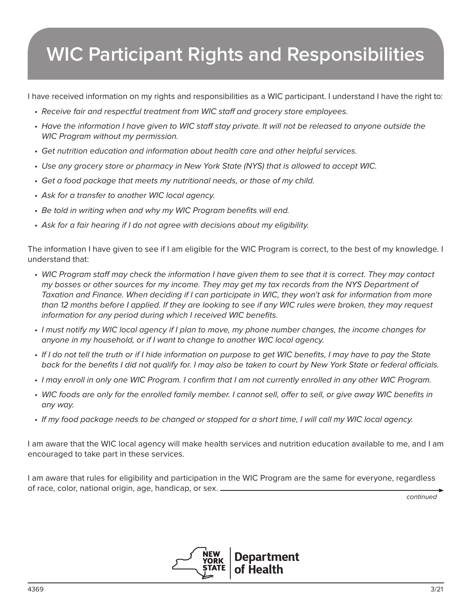## **WIC Participant Rights and Responsibilities**

I have received information on my rights and responsibilities as a WIC participant. I understand I have the right to:

- Receive fair and respectful treatment from WIC staff and grocery store employees.
- Have the information I have given to WIC staff stay private. It will not be released to anyone outside the WIC Program without my permission.
- Get nutrition education and information about health care and other helpful services.
- Use any grocery store or pharmacy in New York State (NYS) that is allowed to accept WIC.
- Get a food package that meets my nutritional needs, or those of my child.
- Ask for a transfer to another WIC local agency.
- Be told in writing when and why my WIC Program benefits will end.
- Ask for a fair hearing if I do not agree with decisions about my eligibility.

The information I have given to see if I am eligible for the WIC Program is correct, to the best of my knowledge. I understand that:

- WIC Program staff may check the information I have given them to see that it is correct. They may contact my bosses or other sources for my income. They may get my tax records from the NYS Department of Taxation and Finance. When deciding if I can participate in WIC, they won't ask for information from more than 12 months before I applied. If they are looking to see if any WIC rules were broken, they may request information for any period during which I received WIC benefits.
- I must notify my WIC local agency if I plan to move, my phone number changes, the income changes for anyone in my household, or if I want to change to another WIC local agency.
- If I do not tell the truth or if I hide information on purpose to get WIC benefits, I may have to pay the State back for the benefits I did not qualify for. I may also be taken to court by New York State or federal officials.
- I may enroll in only one WIC Program. I confirm that I am not currently enrolled in any other WIC Program.
- WIC foods are only for the enrolled family member. I cannot sell, offer to sell, or give away WIC benefits in any way.
- If my food package needs to be changed or stopped for a short time, I will call my WIC local agency.

I am aware that the WIC local agency will make health services and nutrition education available to me, and I am encouraged to take part in these services.

I am aware that rules for eligibility and participation in the WIC Program are the same for everyone, regardless of race, color, national origin, age, handicap, or sex.

continued